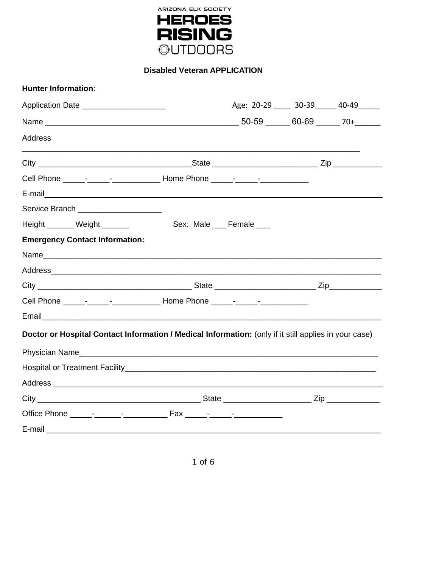

**Disabled Veteran APPLICATION** 

| <b>Hunter Information:</b>                                                                            |                                        |  |
|-------------------------------------------------------------------------------------------------------|----------------------------------------|--|
| Application Date _____________________                                                                | Age: 20-29 _____ 30-39 ____ 40-49 ____ |  |
|                                                                                                       |                                        |  |
| <b>Address</b>                                                                                        |                                        |  |
|                                                                                                       |                                        |  |
| Cell Phone ______-__________________________ Home Phone ______-_________________                      |                                        |  |
|                                                                                                       |                                        |  |
| Service Branch _____________________                                                                  |                                        |  |
| Height ______ Weight ______                                                                           | Sex: Male ___ Female ___               |  |
| <b>Emergency Contact Information:</b>                                                                 |                                        |  |
|                                                                                                       |                                        |  |
|                                                                                                       |                                        |  |
|                                                                                                       |                                        |  |
| Cell Phone ________________________________ Home Phone _________________________                      |                                        |  |
|                                                                                                       |                                        |  |
| Doctor or Hospital Contact Information / Medical Information: (only if it still applies in your case) |                                        |  |
|                                                                                                       |                                        |  |
|                                                                                                       |                                        |  |
|                                                                                                       |                                        |  |
|                                                                                                       |                                        |  |
|                                                                                                       |                                        |  |
| $E$ -mail $\_$                                                                                        |                                        |  |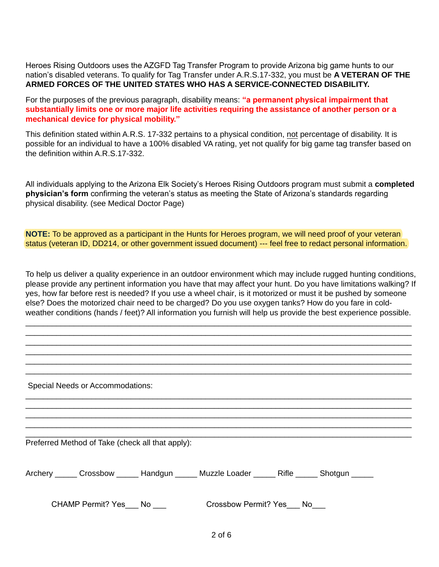Heroes Rising Outdoors uses the AZGFD Tag Transfer Program to provide Arizona big game hunts to our nation's disabled veterans. To qualify for Tag Transfer under A.R.S.17-332, you must be **A VETERAN OF THE ARMED FORCES OF THE UNITED STATES WHO HAS A SERVICE-CONNECTED DISABILITY.** 

For the purposes of the previous paragraph, disability means: **"a permanent physical impairment that substantially limits one or more major life activities requiring the assistance of another person or a mechanical device for physical mobility."** 

This definition stated within A.R.S. 17-332 pertains to a physical condition, not percentage of disability. It is possible for an individual to have a 100% disabled VA rating, yet not qualify for big game tag transfer based on the definition within A.R.S.17-332.

All individuals applying to the Arizona Elk Society's Heroes Rising Outdoors program must submit a **completed physician's form** confirming the veteran's status as meeting the State of Arizona's standards regarding physical disability. (see Medical Doctor Page)

**NOTE:** To be approved as a participant in the Hunts for Heroes program, we will need proof of your veteran status (veteran ID, DD214, or other government issued document) --- feel free to redact personal information.

To help us deliver a quality experience in an outdoor environment which may include rugged hunting conditions, please provide any pertinent information you have that may affect your hunt. Do you have limitations walking? If yes, how far before rest is needed? If you use a wheel chair, is it motorized or must it be pushed by someone else? Does the motorized chair need to be charged? Do you use oxygen tanks? How do you fare in coldweather conditions (hands / feet)? All information you furnish will help us provide the best experience possible.

\_\_\_\_\_\_\_\_\_\_\_\_\_\_\_\_\_\_\_\_\_\_\_\_\_\_\_\_\_\_\_\_\_\_\_\_\_\_\_\_\_\_\_\_\_\_\_\_\_\_\_\_\_\_\_\_\_\_\_\_\_\_\_\_\_\_\_\_\_\_\_\_\_\_\_\_\_\_\_\_\_\_\_\_\_\_\_\_ \_\_\_\_\_\_\_\_\_\_\_\_\_\_\_\_\_\_\_\_\_\_\_\_\_\_\_\_\_\_\_\_\_\_\_\_\_\_\_\_\_\_\_\_\_\_\_\_\_\_\_\_\_\_\_\_\_\_\_\_\_\_\_\_\_\_\_\_\_\_\_\_\_\_\_\_\_\_\_\_\_\_\_\_\_\_\_\_ \_\_\_\_\_\_\_\_\_\_\_\_\_\_\_\_\_\_\_\_\_\_\_\_\_\_\_\_\_\_\_\_\_\_\_\_\_\_\_\_\_\_\_\_\_\_\_\_\_\_\_\_\_\_\_\_\_\_\_\_\_\_\_\_\_\_\_\_\_\_\_\_\_\_\_\_\_\_\_\_\_\_\_\_\_\_\_\_ \_\_\_\_\_\_\_\_\_\_\_\_\_\_\_\_\_\_\_\_\_\_\_\_\_\_\_\_\_\_\_\_\_\_\_\_\_\_\_\_\_\_\_\_\_\_\_\_\_\_\_\_\_\_\_\_\_\_\_\_\_\_\_\_\_\_\_\_\_\_\_\_\_\_\_\_\_\_\_\_\_\_\_\_\_\_\_\_ \_\_\_\_\_\_\_\_\_\_\_\_\_\_\_\_\_\_\_\_\_\_\_\_\_\_\_\_\_\_\_\_\_\_\_\_\_\_\_\_\_\_\_\_\_\_\_\_\_\_\_\_\_\_\_\_\_\_\_\_\_\_\_\_\_\_\_\_\_\_\_\_\_\_\_\_\_\_\_\_\_\_\_\_\_\_\_\_ \_\_\_\_\_\_\_\_\_\_\_\_\_\_\_\_\_\_\_\_\_\_\_\_\_\_\_\_\_\_\_\_\_\_\_\_\_\_\_\_\_\_\_\_\_\_\_\_\_\_\_\_\_\_\_\_\_\_\_\_\_\_\_\_\_\_\_\_\_\_\_\_\_\_\_\_\_\_\_\_\_\_\_\_\_\_\_\_

\_\_\_\_\_\_\_\_\_\_\_\_\_\_\_\_\_\_\_\_\_\_\_\_\_\_\_\_\_\_\_\_\_\_\_\_\_\_\_\_\_\_\_\_\_\_\_\_\_\_\_\_\_\_\_\_\_\_\_\_\_\_\_\_\_\_\_\_\_\_\_\_\_\_\_\_\_\_\_\_\_\_\_\_\_\_\_\_ \_\_\_\_\_\_\_\_\_\_\_\_\_\_\_\_\_\_\_\_\_\_\_\_\_\_\_\_\_\_\_\_\_\_\_\_\_\_\_\_\_\_\_\_\_\_\_\_\_\_\_\_\_\_\_\_\_\_\_\_\_\_\_\_\_\_\_\_\_\_\_\_\_\_\_\_\_\_\_\_\_\_\_\_\_\_\_\_ \_\_\_\_\_\_\_\_\_\_\_\_\_\_\_\_\_\_\_\_\_\_\_\_\_\_\_\_\_\_\_\_\_\_\_\_\_\_\_\_\_\_\_\_\_\_\_\_\_\_\_\_\_\_\_\_\_\_\_\_\_\_\_\_\_\_\_\_\_\_\_\_\_\_\_\_\_\_\_\_\_\_\_\_\_\_\_\_ \_\_\_\_\_\_\_\_\_\_\_\_\_\_\_\_\_\_\_\_\_\_\_\_\_\_\_\_\_\_\_\_\_\_\_\_\_\_\_\_\_\_\_\_\_\_\_\_\_\_\_\_\_\_\_\_\_\_\_\_\_\_\_\_\_\_\_\_\_\_\_\_\_\_\_\_\_\_\_\_\_\_\_\_\_\_\_\_ \_\_\_\_\_\_\_\_\_\_\_\_\_\_\_\_\_\_\_\_\_\_\_\_\_\_\_\_\_\_\_\_\_\_\_\_\_\_\_\_\_\_\_\_\_\_\_\_\_\_\_\_\_\_\_\_\_\_\_\_\_\_\_\_\_\_\_\_\_\_\_\_\_\_\_\_\_\_\_\_\_\_\_\_\_\_\_\_

Special Needs or Accommodations:

Preferred Method of Take (check all that apply):

| Archery | Crossbow | Handgun | Muzzle Loader | Rifle | Shotgun |
|---------|----------|---------|---------------|-------|---------|
|         |          |         |               |       |         |

CHAMP Permit? Yes No Crossbow Permit? Yes No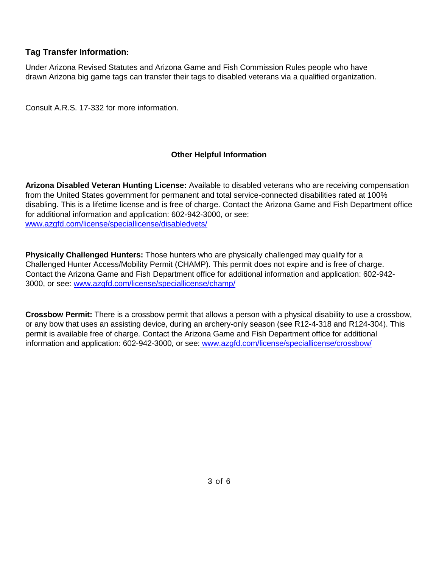# **Tag Transfer Information:**

Under Arizona Revised Statutes and Arizona Game and Fish Commission Rules people who have drawn Arizona big game tags can transfer their tags to disabled veterans via a qualified organization.

Consult A.R.S. 17-332 for more information.

### **Other Helpful Information**

**Arizona Disabled Veteran Hunting License:** Available to disabled veterans who are receiving compensation from the United States government for permanent and total service-connected disabilities rated at 100% disabling. This is a lifetime license and is free of charge. Contact the Arizona Game and Fish Department office for additional information and application: 602-942-3000, or see: [www.azgfd.com/license/speciallicense/disabledvets/](http://www.azgfd.com/license/speciallicense/disabledvets/)

**Physically Challenged Hunters:** Those hunters who are physically challenged may qualify for a Challenged Hunter Access/Mobility Permit (CHAMP). This permit does not expire and is free of charge. Contact the Arizona Game and Fish Department office for additional information and application: 602-942- 3000, or see: [www.azgfd.com/license/speciallicense/champ/](http://www.azgfd.com/license/speciallicense/champ/)

**Crossbow Permit:** There is a crossbow permit that allows a person with a physical disability to use a crossbow, or any bow that uses an assisting device, during an archery-only season (see R12-4-318 and R124-304). This permit is available free of charge. Contact the Arizona Game and Fish Department office for additional information and application: 602-942-3000, or see: [www.azgfd.com/license/speciallicense/crossbow/](http://www.azgfd.com/license/speciallicense/crossbow/)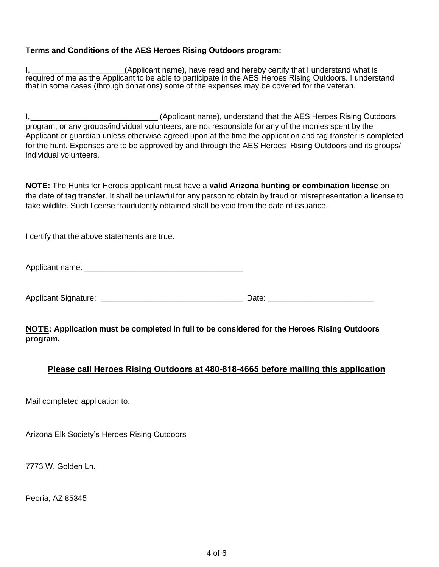### **Terms and Conditions of the AES Heroes Rising Outdoors program:**

I, \_\_\_\_\_\_\_\_\_\_\_\_\_\_\_\_\_\_\_\_\_\_\_\_(Applicant name), have read and hereby certify that I understand what is required of me as the Applicant to be able to participate in the AES Heroes Rising Outdoors. I understand that in some cases (through donations) some of the expenses may be covered for the veteran.

I, Europe and the Mercury (Applicant name), understand that the AES Heroes Rising Outdoors program, or any groups/individual volunteers, are not responsible for any of the monies spent by the Applicant or guardian unless otherwise agreed upon at the time the application and tag transfer is completed for the hunt. Expenses are to be approved by and through the AES Heroes Rising Outdoors and its groups/ individual volunteers.

**NOTE:** The Hunts for Heroes applicant must have a **valid Arizona hunting or combination license** on the date of tag transfer. It shall be unlawful for any person to obtain by fraud or misrepresentation a license to take wildlife. Such license fraudulently obtained shall be void from the date of issuance.

I certify that the above statements are true.

Applicant name:  $\blacksquare$ 

Applicant Signature: <br>
and the contract of the contract of the contract of the contract of the contract of the contract of the contract of the contract of the contract of the contract of the contract of the contract of the

**NOTE: Application must be completed in full to be considered for the Heroes Rising Outdoors program.**

### **Please call Heroes Rising Outdoors at 480-818-4665 before mailing this application**

Mail completed application to:

Arizona Elk Society's Heroes Rising Outdoors

7773 W. Golden Ln.

Peoria, AZ 85345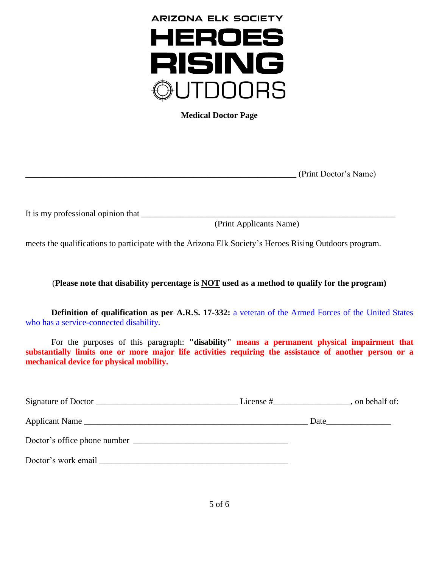

**Medical Doctor Page**

\_\_\_\_\_\_\_\_\_\_\_\_\_\_\_\_\_\_\_\_\_\_\_\_\_\_\_\_\_\_\_\_\_\_\_\_\_\_\_\_\_\_\_\_\_\_\_\_\_\_\_\_\_\_\_\_\_\_\_\_\_\_\_ (Print Doctor's Name)

It is my professional opinion that

(Print Applicants Name)

meets the qualifications to participate with the Arizona Elk Society's Heroes Rising Outdoors program.

### (**Please note that disability percentage is NOT used as a method to qualify for the program)**

**Definition of qualification as per A.R.S. 17-332:** a veteran of the Armed Forces of the United States who has a service-connected disability.

For the purposes of this paragraph: **"disability" means a permanent physical impairment that substantially limits one or more major life activities requiring the assistance of another person or a mechanical device for physical mobility.**

| Signature of Doctor                                                                                                                                                                                                            | License $#$ , on behalf of: |
|--------------------------------------------------------------------------------------------------------------------------------------------------------------------------------------------------------------------------------|-----------------------------|
| Applicant Name                                                                                                                                                                                                                 |                             |
|                                                                                                                                                                                                                                |                             |
| Doctor's work email by the same of the same of the same of the same of the same of the same of the same of the same of the same of the same of the same of the same of the same of the same of the same of the same of the sam |                             |